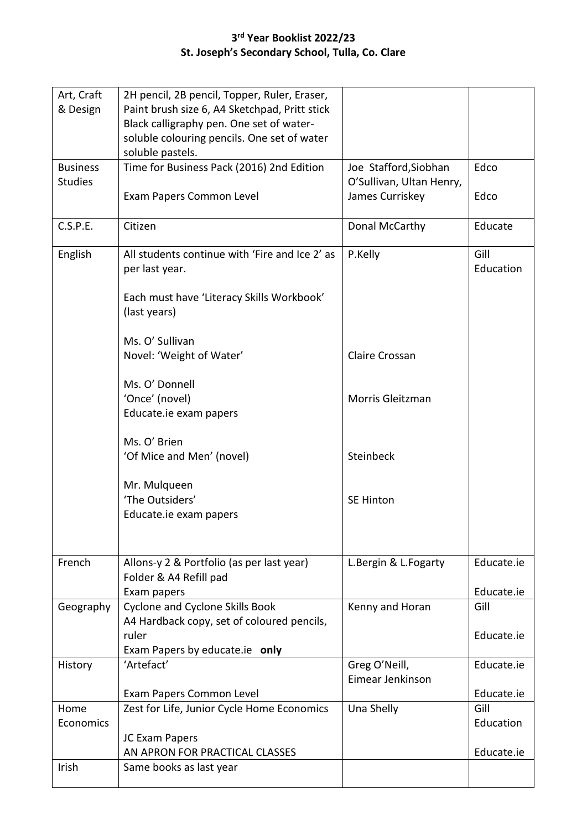## **3 rd Year Booklist 2022/23 St. Joseph's Secondary School, Tulla, Co. Clare**

| Art, Craft<br>& Design | 2H pencil, 2B pencil, Topper, Ruler, Eraser,<br>Paint brush size 6, A4 Sketchpad, Pritt stick<br>Black calligraphy pen. One set of water- |                                             |                   |
|------------------------|-------------------------------------------------------------------------------------------------------------------------------------------|---------------------------------------------|-------------------|
|                        | soluble colouring pencils. One set of water<br>soluble pastels.                                                                           |                                             |                   |
| <b>Business</b>        | Time for Business Pack (2016) 2nd Edition                                                                                                 | Joe Stafford, Siobhan                       | Edco              |
| <b>Studies</b>         | Exam Papers Common Level                                                                                                                  | O'Sullivan, Ultan Henry,<br>James Curriskey | Edco              |
| C.S.P.E.               | Citizen                                                                                                                                   | Donal McCarthy                              | Educate           |
| English                | All students continue with 'Fire and Ice 2' as<br>per last year.                                                                          | P.Kelly                                     | Gill<br>Education |
|                        | Each must have 'Literacy Skills Workbook'<br>(last years)                                                                                 |                                             |                   |
|                        | Ms. O' Sullivan<br>Novel: 'Weight of Water'                                                                                               | Claire Crossan                              |                   |
|                        | Ms. O' Donnell<br>'Once' (novel)<br>Educate.ie exam papers                                                                                | Morris Gleitzman                            |                   |
|                        | Ms. O' Brien<br>'Of Mice and Men' (novel)                                                                                                 | Steinbeck                                   |                   |
|                        | Mr. Mulqueen<br>'The Outsiders'<br>Educate.ie exam papers                                                                                 | <b>SE Hinton</b>                            |                   |
| French                 | Allons-y 2 & Portfolio (as per last year)                                                                                                 | L.Bergin & L.Fogarty                        | Educate.ie        |
|                        | Folder & A4 Refill pad<br>Exam papers                                                                                                     |                                             | Educate.ie        |
| Geography              | <b>Cyclone and Cyclone Skills Book</b>                                                                                                    | Kenny and Horan                             | Gill              |
|                        | A4 Hardback copy, set of coloured pencils,<br>ruler<br>Exam Papers by educate.ie only                                                     |                                             | Educate.ie        |
| History                | 'Artefact'                                                                                                                                | Greg O'Neill,<br>Eimear Jenkinson           | Educate.ie        |
|                        | Exam Papers Common Level                                                                                                                  |                                             | Educate.ie        |
| Home<br>Economics      | Zest for Life, Junior Cycle Home Economics                                                                                                | Una Shelly                                  | Gill<br>Education |
|                        | JC Exam Papers<br>AN APRON FOR PRACTICAL CLASSES                                                                                          |                                             | Educate.ie        |
| Irish                  | Same books as last year                                                                                                                   |                                             |                   |